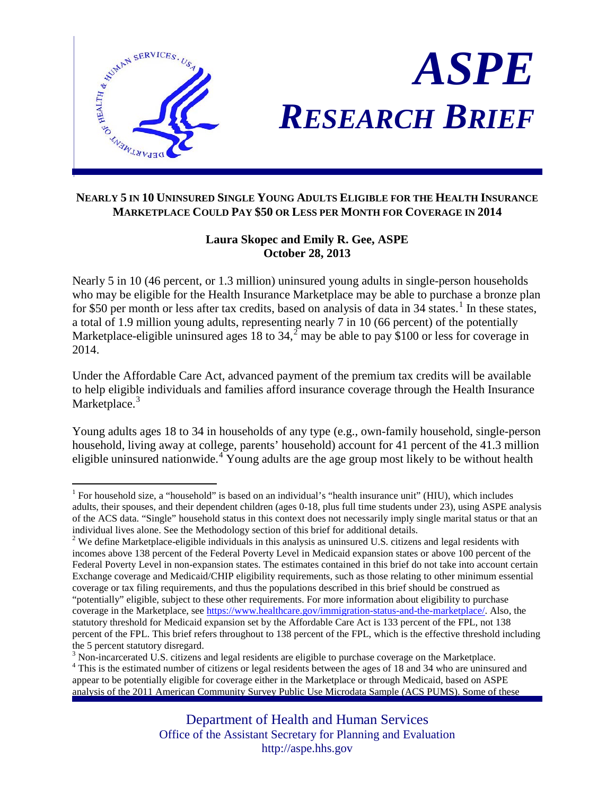

# *ASPE RESEARCH BRIEF*

# **NEARLY 5 IN 10 UNINSURED SINGLE YOUNG ADULTS ELIGIBLE FOR THE HEALTH INSURANCE MARKETPLACE COULD PAY \$50 OR LESS PER MONTH FOR COVERAGE IN 2014**

# **Laura Skopec and Emily R. Gee, ASPE October 28, 2013**

Nearly 5 in 10 (46 percent, or 1.3 million) uninsured young adults in single-person households who may be eligible for the Health Insurance Marketplace may be able to purchase a bronze plan for \$50 per month or less after tax credits, based on analysis of data in  $34$  states.<sup>[1](#page-0-0)</sup> In these states, a total of 1.9 million young adults, representing nearly 7 in 10 (66 percent) of the potentially Marketplace-eligible uninsured ages 18 to 34,<sup>[2](#page-0-1)</sup> may be able to pay \$100 or less for coverage in 2014.

Under the Affordable Care Act, advanced payment of the premium tax credits will be available to help eligible individuals and families afford insurance coverage through the Health Insurance Marketplace.<sup>[3](#page-0-2)</sup>

Young adults ages 18 to 34 in households of any type (e.g., own-family household, single-person household, living away at college, parents' household) account for 41 percent of the 41.3 million eligible uninsured nationwide.<sup>[4](#page-0-3)</sup> Young adults are the age group most likely to be without health

<span id="page-0-0"></span><sup>&</sup>lt;sup>1</sup> For household size, a "household" is based on an individual's "health insurance unit" (HIU), which includes adults, their spouses, and their dependent children (ages 0-18, plus full time students under 23), using ASPE analysis of the ACS data. "Single" household status in this context does not necessarily imply single marital status or that an individual lives alone. See the Methodology section of this brief for additional details.

<span id="page-0-1"></span> $2$  We define Marketplace-eligible individuals in this analysis as uninsured U.S. citizens and legal residents with incomes above 138 percent of the Federal Poverty Level in Medicaid expansion states or above 100 percent of the Federal Poverty Level in non-expansion states. The estimates contained in this brief do not take into account certain Exchange coverage and Medicaid/CHIP eligibility requirements, such as those relating to other minimum essential coverage or tax filing requirements, and thus the populations described in this brief should be construed as "potentially" eligible, subject to these other requirements. For more information about eligibility to purchase coverage in the Marketplace, see [https://www.healthcare.gov/immigration-status-and-the-marketplace/.](https://www.healthcare.gov/immigration-status-and-the-marketplace/) Also, the statutory threshold for Medicaid expansion set by the Affordable Care Act is 133 percent of the FPL, not 138 percent of the FPL. This brief refers throughout to 138 percent of the FPL, which is the effective threshold including the 5 percent statutory disregard.<br><sup>3</sup> Non-incarcerated U.S. citizens and legal residents are eligible to purchase coverage on the Marketplace.<br><sup>4</sup> This is the estimated number of citizens or legal residents between the a

<span id="page-0-2"></span>

<span id="page-0-3"></span>appear to be potentially eligible for coverage either in the Marketplace or through Medicaid, based on ASPE analysis of the 2011 American Community Survey Public Use Microdata Sample (ACS PUMS). Some of these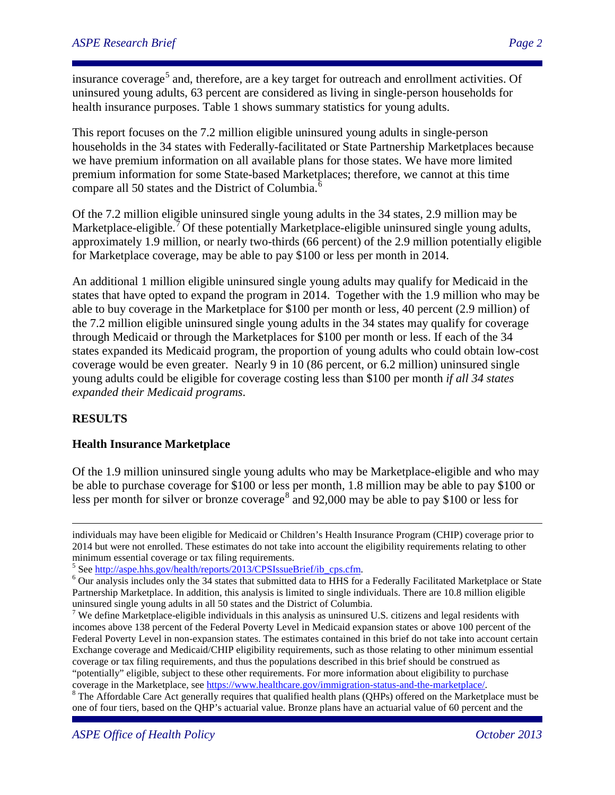insurance coverage<sup>[5](#page-1-0)</sup> and, therefore, are a key target for outreach and enrollment activities. Of uninsured young adults, 63 percent are considered as living in single-person households for health insurance purposes. Table 1 shows summary statistics for young adults.

This report focuses on the 7.2 million eligible uninsured young adults in single-person households in the 34 states with Federally-facilitated or State Partnership Marketplaces because we have premium information on all available plans for those states. We have more limited premium information for some State-based Marketplaces; therefore, we cannot at this time compare all 50 states and the District of Columbia. $\delta$ 

Of the 7.2 million eligible uninsured single young adults in the 34 states, 2.9 million may be Marketplace-eligible.<sup>[7](#page-1-2)</sup> Of these potentially Marketplace-eligible uninsured single young adults, approximately 1.9 million, or nearly two-thirds (66 percent) of the 2.9 million potentially eligible for Marketplace coverage, may be able to pay \$100 or less per month in 2014.

An additional 1 million eligible uninsured single young adults may qualify for Medicaid in the states that have opted to expand the program in 2014. Together with the 1.9 million who may be able to buy coverage in the Marketplace for \$100 per month or less, 40 percent (2.9 million) of the 7.2 million eligible uninsured single young adults in the 34 states may qualify for coverage through Medicaid or through the Marketplaces for \$100 per month or less. If each of the 34 states expanded its Medicaid program, the proportion of young adults who could obtain low-cost coverage would be even greater. Nearly 9 in 10 (86 percent, or 6.2 million) uninsured single young adults could be eligible for coverage costing less than \$100 per month *if all 34 states expanded their Medicaid programs*.

# **RESULTS**

 $\overline{a}$ 

### **Health Insurance Marketplace**

Of the 1.9 million uninsured single young adults who may be Marketplace-eligible and who may be able to purchase coverage for \$100 or less per month, 1.8 million may be able to pay \$100 or less per month for silver or bronze coverage<sup>[8](#page-1-3)</sup> and 92,000 may be able to pay \$100 or less for

<span id="page-1-3"></span>one of four tiers, based on the QHP's actuarial value. Bronze plans have an actuarial value of 60 percent and the

individuals may have been eligible for Medicaid or Children's Health Insurance Program (CHIP) coverage prior to 2014 but were not enrolled. These estimates do not take into account the eligibility requirements relating to other minimum essential coverage or tax filing requirements.<br><sup>5</sup> See http://aspe.hhs.gov/health/reports/2013/CPSIssueBrief/ib\_cps.cfm.

<span id="page-1-1"></span><span id="page-1-0"></span> $6$  Our analysis includes only the 34 states that submitted data to HHS for a Federally Facilitated Marketplace or State Partnership Marketplace. In addition, this analysis is limited to single individuals. There are 10.8 million eligible uninsured single young adults in all 50 states and the District of Columbia.

<span id="page-1-2"></span><sup>&</sup>lt;sup>7</sup> We define Marketplace-eligible individuals in this analysis as uninsured U.S. citizens and legal residents with incomes above 138 percent of the Federal Poverty Level in Medicaid expansion states or above 100 percent of the Federal Poverty Level in non-expansion states. The estimates contained in this brief do not take into account certain Exchange coverage and Medicaid/CHIP eligibility requirements, such as those relating to other minimum essential coverage or tax filing requirements, and thus the populations described in this brief should be construed as "potentially" eligible, subject to these other requirements. For more information about eligibility to purchase coverage in the Marketplace, see [https://www.healthcare.gov/immigration-status-and-the-marketplace/.](https://www.healthcare.gov/immigration-status-and-the-marketplace/)<br><sup>8</sup> The Affordable Care Act generally requires that qualified health plans (QHPs) offered on the Marketplace must be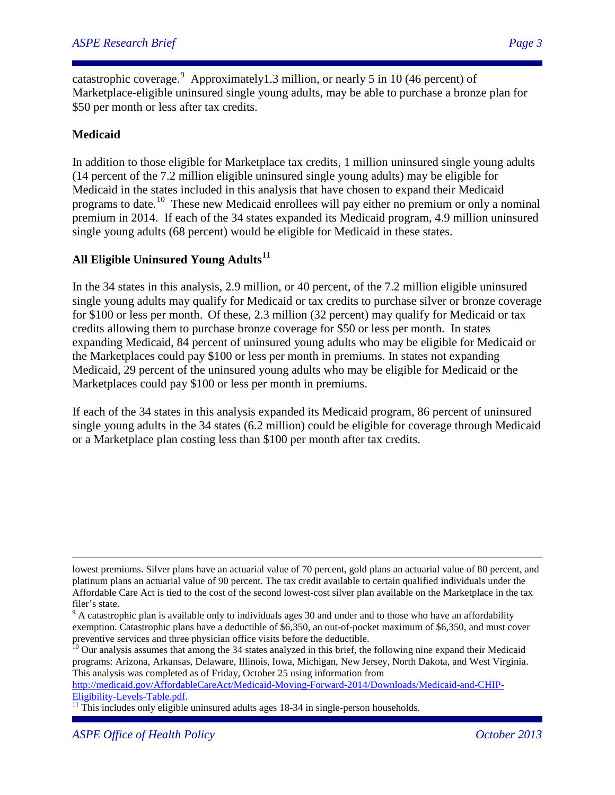catastrophic coverage. Approximately1.3 million, or nearly 5 in 10 (46 percent) of Marketplace-eligible uninsured single young adults, may be able to purchase a bronze plan for \$50 per month or less after tax credits.

## **Medicaid**

In addition to those eligible for Marketplace tax credits, 1 million uninsured single young adults (14 percent of the 7.2 million eligible uninsured single young adults) may be eligible for Medicaid in the states included in this analysis that have chosen to expand their Medicaid programs to date.[10](#page-2-1) These new Medicaid enrollees will pay either no premium or only a nominal premium in 2014. If each of the 34 states expanded its Medicaid program, 4.9 million uninsured single young adults (68 percent) would be eligible for Medicaid in these states.

## **All Eligible Uninsured Young Adults[11](#page-2-2)**

In the 34 states in this analysis, 2.9 million, or 40 percent, of the 7.2 million eligible uninsured single young adults may qualify for Medicaid or tax credits to purchase silver or bronze coverage for \$100 or less per month. Of these, 2.3 million (32 percent) may qualify for Medicaid or tax credits allowing them to purchase bronze coverage for \$50 or less per month. In states expanding Medicaid, 84 percent of uninsured young adults who may be eligible for Medicaid or the Marketplaces could pay \$100 or less per month in premiums. In states not expanding Medicaid, 29 percent of the uninsured young adults who may be eligible for Medicaid or the Marketplaces could pay \$100 or less per month in premiums.

If each of the 34 states in this analysis expanded its Medicaid program, 86 percent of uninsured single young adults in the 34 states (6.2 million) could be eligible for coverage through Medicaid or a Marketplace plan costing less than \$100 per month after tax credits.

[http://medicaid.gov/AffordableCareAct/Medicaid-Moving-Forward-2014/Downloads/Medicaid-and-CHIP-](http://medicaid.gov/AffordableCareAct/Medicaid-Moving-Forward-2014/Downloads/Medicaid-and-CHIP-Eligibility-Levels-Table.pdf)

lowest premiums. Silver plans have an actuarial value of 70 percent, gold plans an actuarial value of 80 percent, and platinum plans an actuarial value of 90 percent. The tax credit available to certain qualified individuals under the Affordable Care Act is tied to the cost of the second lowest-cost silver plan available on the Marketplace in the tax

<span id="page-2-0"></span>filer's state.<br><sup>9</sup> A catastrophic plan is available only to individuals ages 30 and under and to those who have an affordability exemption. Catastrophic plans have a deductible of \$6,350, an out-of-pocket maximum of \$6,350, and must cover preventive services and three physician office visits before the deductible.<br><sup>10</sup> Our analysis assumes that among the 34 states analyzed in this brief, the following nine expand their Medicaid

<span id="page-2-1"></span>programs: Arizona, Arkansas, Delaware, Illinois, Iowa, Michigan, New Jersey, North Dakota, and West Virginia. This analysis was completed as of Friday, October 25 using information from

<span id="page-2-2"></span> $\frac{11}{11}$  This includes only eligible uninsured adults ages 18-34 in single-person households.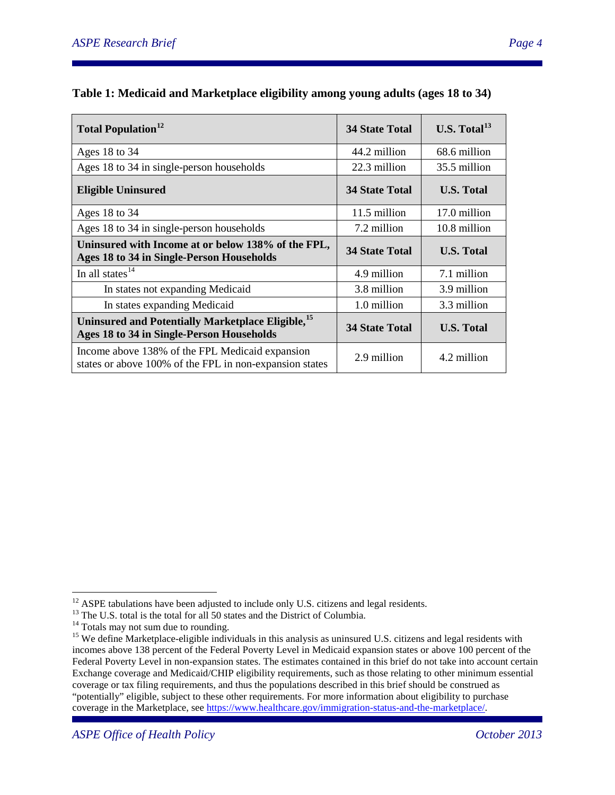$\overline{\phantom{a}}$ 

| <b>Total Population</b> <sup>12</sup>                                                                      | <b>34 State Total</b> | U.S. Total $^{13}$ |
|------------------------------------------------------------------------------------------------------------|-----------------------|--------------------|
| Ages $18$ to $34$                                                                                          | 44.2 million          | 68.6 million       |
| Ages 18 to 34 in single-person households                                                                  | 22.3 million          | 35.5 million       |
| <b>Eligible Uninsured</b>                                                                                  | <b>34 State Total</b> | <b>U.S. Total</b>  |
| Ages $18$ to $34$                                                                                          | 11.5 million          | 17.0 million       |
| Ages 18 to 34 in single-person households                                                                  | 7.2 million           | 10.8 million       |
| Uninsured with Income at or below 138% of the FPL,<br>Ages 18 to 34 in Single-Person Households            | <b>34 State Total</b> | <b>U.S. Total</b>  |
| In all states <sup>14</sup>                                                                                | 4.9 million           | 7.1 million        |
| In states not expanding Medicaid                                                                           | 3.8 million           | 3.9 million        |
| In states expanding Medicaid                                                                               | 1.0 million           | 3.3 million        |
| Uninsured and Potentially Marketplace Eligible, <sup>15</sup><br>Ages 18 to 34 in Single-Person Households | <b>34 State Total</b> | <b>U.S. Total</b>  |
| Income above 138% of the FPL Medicaid expansion<br>states or above 100% of the FPL in non-expansion states | 2.9 million           | 4.2 million        |

# **Table 1: Medicaid and Marketplace eligibility among young adults (ages 18 to 34)**

 $12$  ASPE tabulations have been adjusted to include only U.S. citizens and legal residents.

<span id="page-3-3"></span>

<span id="page-3-2"></span><span id="page-3-1"></span><span id="page-3-0"></span><sup>&</sup>lt;sup>13</sup><br>The U.S. total is the total for all 50 states and the District of Columbia.<br><sup>14</sup><br>Totals may not sum due to rounding.<br><sup>15</sup> We define Marketplace-eligible individuals in this analysis as uninsured U.S. citizens and lega incomes above 138 percent of the Federal Poverty Level in Medicaid expansion states or above 100 percent of the Federal Poverty Level in non-expansion states. The estimates contained in this brief do not take into account certain Exchange coverage and Medicaid/CHIP eligibility requirements, such as those relating to other minimum essential coverage or tax filing requirements, and thus the populations described in this brief should be construed as "potentially" eligible, subject to these other requirements. For more information about eligibility to purchase coverage in the Marketplace, see [https://www.healthcare.gov/immigration-status-and-the-marketplace/.](https://www.healthcare.gov/immigration-status-and-the-marketplace/)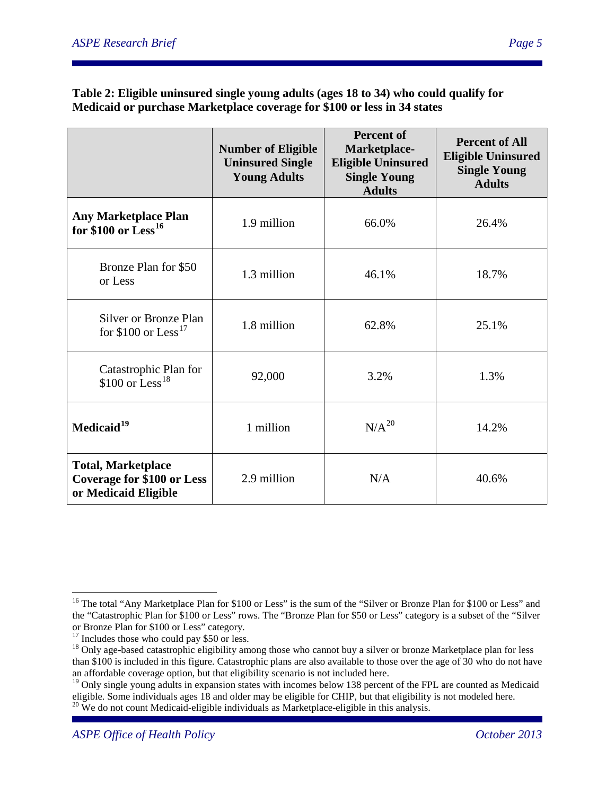#### **Table 2: Eligible uninsured single young adults (ages 18 to 34) who could qualify for Medicaid or purchase Marketplace coverage for \$100 or less in 34 states**

|                                                                                        | <b>Number of Eligible</b><br><b>Uninsured Single</b><br><b>Young Adults</b> | <b>Percent of</b><br>Marketplace-<br><b>Eligible Uninsured</b><br><b>Single Young</b><br><b>Adults</b> | <b>Percent of All</b><br><b>Eligible Uninsured</b><br><b>Single Young</b><br><b>Adults</b> |
|----------------------------------------------------------------------------------------|-----------------------------------------------------------------------------|--------------------------------------------------------------------------------------------------------|--------------------------------------------------------------------------------------------|
| <b>Any Marketplace Plan</b><br>for \$100 or $\text{Less}^{16}$                         | 1.9 million                                                                 | 66.0%                                                                                                  | 26.4%                                                                                      |
| Bronze Plan for \$50<br>1.3 million<br>or Less                                         |                                                                             | 46.1%                                                                                                  | 18.7%                                                                                      |
| Silver or Bronze Plan<br>for \$100 or Less <sup>17</sup>                               | 1.8 million                                                                 | 62.8%                                                                                                  | 25.1%                                                                                      |
| Catastrophic Plan for<br>\$100 or Less <sup>18</sup>                                   | 92,000                                                                      |                                                                                                        | 1.3%                                                                                       |
| Medicaid <sup>19</sup><br>1 million                                                    |                                                                             | $N/A^{20}$                                                                                             | 14.2%                                                                                      |
| <b>Total, Marketplace</b><br><b>Coverage for \$100 or Less</b><br>or Medicaid Eligible | 2.9 million<br>N/A                                                          |                                                                                                        | 40.6%                                                                                      |

<span id="page-4-0"></span> $\overline{a}$ <sup>16</sup> The total "Any Marketplace Plan for \$100 or Less" is the sum of the "Silver or Bronze Plan for \$100 or Less" and the "Catastrophic Plan for \$100 or Less" rows. The "Bronze Plan for \$50 or Less" category is a subset of the "Silver or Bronze Plan for \$100 or Less" category.

<span id="page-4-2"></span><span id="page-4-1"></span><sup>&</sup>lt;sup>17</sup> Includes those who could pay \$50 or less.  $\frac{18}{18}$  Only age-based catastrophic eligibility among those who cannot buy a silver or bronze Marketplace plan for less than \$100 is included in this figure. Catastrophic plans are also available to those over the age of 30 who do not have an affordable coverage option, but that eligibility scenario is not included here.

<span id="page-4-3"></span><sup>&</sup>lt;sup>19</sup> Only single young adults in expansion states with incomes below 138 percent of the FPL are counted as Medicaid eligible. Some individuals ages 18 and older may be eligible for CHIP, but that eligibility is not modeled here. 20 We do not count Medicaid-eligible individuals as Marketplace-eligible in this analysis.

<span id="page-4-4"></span>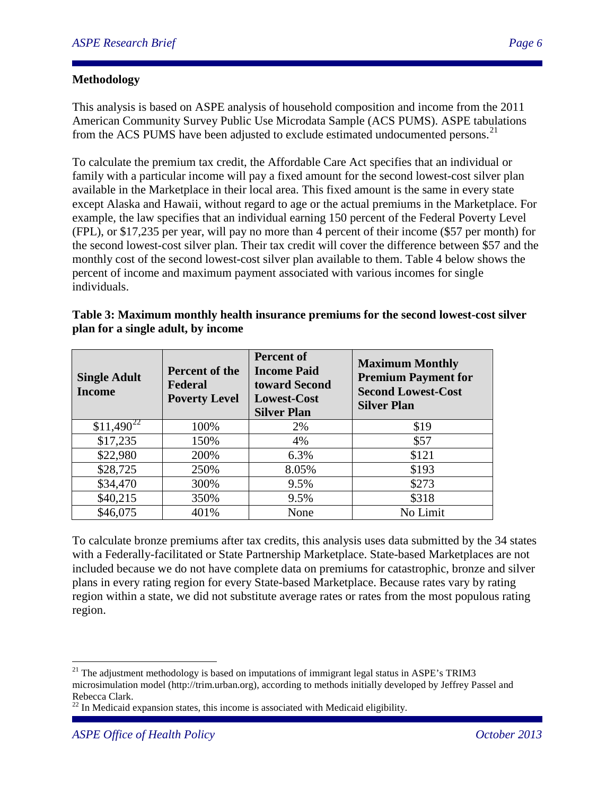## **Methodology**

This analysis is based on ASPE analysis of household composition and income from the 2011 American Community Survey Public Use Microdata Sample (ACS PUMS). ASPE tabulations from the ACS PUMS have been adjusted to exclude estimated undocumented persons.<sup>[21](#page-5-0)</sup>

To calculate the premium tax credit, the Affordable Care Act specifies that an individual or family with a particular income will pay a fixed amount for the second lowest-cost silver plan available in the Marketplace in their local area. This fixed amount is the same in every state except Alaska and Hawaii, without regard to age or the actual premiums in the Marketplace. For example, the law specifies that an individual earning 150 percent of the Federal Poverty Level (FPL), or \$17,235 per year, will pay no more than 4 percent of their income (\$57 per month) for the second lowest-cost silver plan. Their tax credit will cover the difference between \$57 and the monthly cost of the second lowest-cost silver plan available to them. Table 4 below shows the percent of income and maximum payment associated with various incomes for single individuals.

| <b>Single Adult</b><br><b>Income</b> | Percent of the<br><b>Federal</b><br><b>Poverty Level</b> | <b>Percent of</b><br><b>Income Paid</b><br>toward Second<br><b>Lowest-Cost</b><br><b>Silver Plan</b> | <b>Maximum Monthly</b><br><b>Premium Payment for</b><br><b>Second Lowest-Cost</b><br><b>Silver Plan</b> |
|--------------------------------------|----------------------------------------------------------|------------------------------------------------------------------------------------------------------|---------------------------------------------------------------------------------------------------------|
| $$11,490^{22}$                       | 100%                                                     | 2%                                                                                                   | \$19                                                                                                    |
| \$17,235                             | 150%                                                     | 4%                                                                                                   | \$57                                                                                                    |
| \$22,980                             | 200%                                                     | 6.3%                                                                                                 | \$121                                                                                                   |
| \$28,725                             | 250%                                                     | 8.05%                                                                                                | \$193                                                                                                   |
| \$34,470                             | 300%                                                     | 9.5%                                                                                                 | \$273                                                                                                   |
| \$40,215                             | 350%                                                     | 9.5%                                                                                                 | \$318                                                                                                   |
| \$46,075                             | 401%                                                     | None                                                                                                 | No Limit                                                                                                |

| Table 3: Maximum monthly health insurance premiums for the second lowest-cost silver |
|--------------------------------------------------------------------------------------|
| plan for a single adult, by income                                                   |

To calculate bronze premiums after tax credits, this analysis uses data submitted by the 34 states with a Federally-facilitated or State Partnership Marketplace. State-based Marketplaces are not included because we do not have complete data on premiums for catastrophic, bronze and silver plans in every rating region for every State-based Marketplace. Because rates vary by rating region within a state, we did not substitute average rates or rates from the most populous rating region.

<span id="page-5-0"></span> $21$  The adjustment methodology is based on imputations of immigrant legal status in ASPE's TRIM3 microsimulation model (http://trim.urban.org), according to methods initially developed by Jeffrey Passel and Rebecca Clark.

<span id="page-5-1"></span> $22$  In Medicaid expansion states, this income is associated with Medicaid eligibility.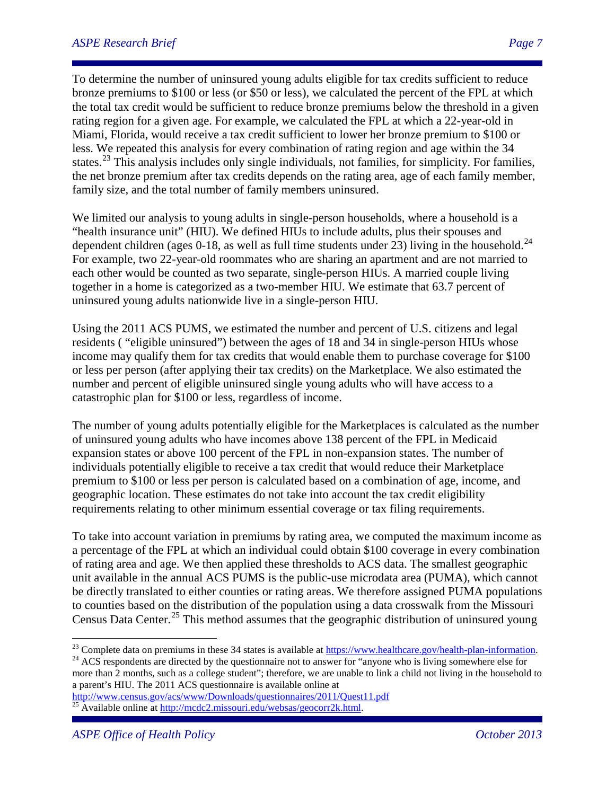To determine the number of uninsured young adults eligible for tax credits sufficient to reduce bronze premiums to \$100 or less (or \$50 or less), we calculated the percent of the FPL at which the total tax credit would be sufficient to reduce bronze premiums below the threshold in a given rating region for a given age. For example, we calculated the FPL at which a 22-year-old in Miami, Florida, would receive a tax credit sufficient to lower her bronze premium to \$100 or less. We repeated this analysis for every combination of rating region and age within the 34 states.<sup>[23](#page-6-0)</sup> This analysis includes only single individuals, not families, for simplicity. For families, the net bronze premium after tax credits depends on the rating area, age of each family member, family size, and the total number of family members uninsured.

We limited our analysis to young adults in single-person households, where a household is a "health insurance unit" (HIU). We defined HIUs to include adults, plus their spouses and dependent children (ages 0-18, as well as full time students under  $2\overline{3}$ ) living in the household.<sup>[24](#page-6-1)</sup> For example, two 22-year-old roommates who are sharing an apartment and are not married to each other would be counted as two separate, single-person HIUs. A married couple living together in a home is categorized as a two-member HIU. We estimate that 63.7 percent of uninsured young adults nationwide live in a single-person HIU.

Using the 2011 ACS PUMS, we estimated the number and percent of U.S. citizens and legal residents ( "eligible uninsured") between the ages of 18 and 34 in single-person HIUs whose income may qualify them for tax credits that would enable them to purchase coverage for \$100 or less per person (after applying their tax credits) on the Marketplace. We also estimated the number and percent of eligible uninsured single young adults who will have access to a catastrophic plan for \$100 or less, regardless of income.

The number of young adults potentially eligible for the Marketplaces is calculated as the number of uninsured young adults who have incomes above 138 percent of the FPL in Medicaid expansion states or above 100 percent of the FPL in non-expansion states. The number of individuals potentially eligible to receive a tax credit that would reduce their Marketplace premium to \$100 or less per person is calculated based on a combination of age, income, and geographic location. These estimates do not take into account the tax credit eligibility requirements relating to other minimum essential coverage or tax filing requirements.

To take into account variation in premiums by rating area, we computed the maximum income as a percentage of the FPL at which an individual could obtain \$100 coverage in every combination of rating area and age. We then applied these thresholds to ACS data. The smallest geographic unit available in the annual ACS PUMS is the public-use microdata area (PUMA), which cannot be directly translated to either counties or rating areas. We therefore assigned PUMA populations to counties based on the distribution of the population using a data crosswalk from the [Missouri](http://mcdc2.missouri.edu/websas/geocorr2k.html)  [Census Data Center.](http://mcdc2.missouri.edu/websas/geocorr2k.html)<sup>[25](#page-6-2)</sup> This method assumes that the geographic distribution of uninsured young

<span id="page-6-1"></span>more than 2 months, such as a college student"; therefore, we are unable to link a child not living in the household to a parent's HIU. The 2011 ACS questionnaire is available online at http://www.census.gov/acs/www/Downloads/questionnaires/2011/Quest11.pdf

<span id="page-6-0"></span><sup>&</sup>lt;sup>23</sup> Complete data on premiums in these 34 states is available at  $\frac{https://www.healthcare.gov/health-plan-information}{https://www.healthcare.gov/health-plan-information}$ .<br><sup>24</sup> ACS respondents are directed by the questionnaire not to answer for "anyone who is living somewhere else for

<span id="page-6-2"></span> $\frac{25}{25}$  Available online at [http://mcdc2.missouri.edu/websas/geocorr2k.html.](http://mcdc2.missouri.edu/websas/geocorr2k.html)